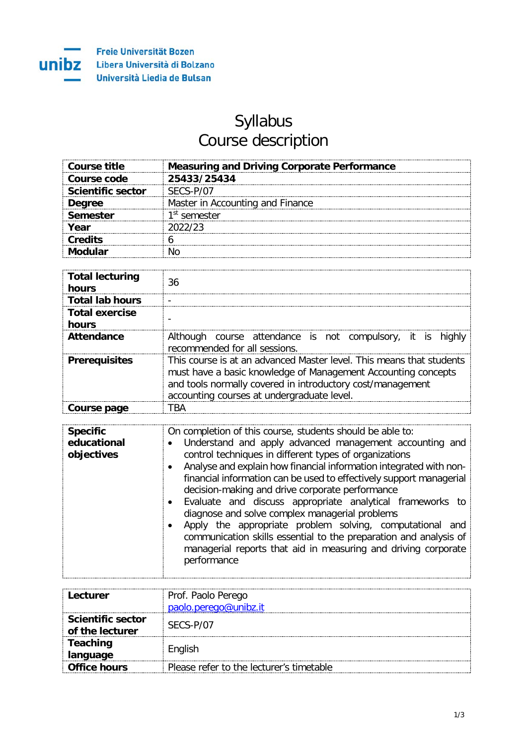unibz

## Syllabus Course description

| Course title             | <b>Measuring and Driving Corporate Performance</b> |
|--------------------------|----------------------------------------------------|
| Course code              | 25433/25434                                        |
| <b>Scientific sector</b> | SECS-P/07                                          |
| <b>Degree</b>            | Master in Accounting and Finance                   |
| Semester                 | 1 <sup>st</sup> semester                           |
| Year                     | 2022/23                                            |
| <b>Credits</b>           |                                                    |
|                          |                                                    |

| <b>Total lecturing</b><br>hours | 36                                                                                                                                                                                                                                                |
|---------------------------------|---------------------------------------------------------------------------------------------------------------------------------------------------------------------------------------------------------------------------------------------------|
| <b>Total lab hours</b>          |                                                                                                                                                                                                                                                   |
| <b>Total exercise</b><br>hours  |                                                                                                                                                                                                                                                   |
| Attendance                      | Although course attendance is not compulsory, it is highly<br>recommended for all sessions.                                                                                                                                                       |
| <b>Prerequisites</b>            | This course is at an advanced Master level. This means that students<br>must have a basic knowledge of Management Accounting concepts<br>and tools normally covered in introductory cost/management<br>accounting courses at undergraduate level. |
| Course page                     |                                                                                                                                                                                                                                                   |

| <b>Specific</b><br>educational<br>objectives | On completion of this course, students should be able to:<br>Understand and apply advanced management accounting and<br>control techniques in different types of organizations<br>Analyse and explain how financial information integrated with non-<br>financial information can be used to effectively support managerial<br>decision-making and drive corporate performance<br>• Evaluate and discuss appropriate analytical frameworks to<br>diagnose and solve complex managerial problems<br>Apply the appropriate problem solving, computational and<br>communication skills essential to the preparation and analysis of<br>managerial reports that aid in measuring and driving corporate<br>performance |
|----------------------------------------------|-------------------------------------------------------------------------------------------------------------------------------------------------------------------------------------------------------------------------------------------------------------------------------------------------------------------------------------------------------------------------------------------------------------------------------------------------------------------------------------------------------------------------------------------------------------------------------------------------------------------------------------------------------------------------------------------------------------------|
|----------------------------------------------|-------------------------------------------------------------------------------------------------------------------------------------------------------------------------------------------------------------------------------------------------------------------------------------------------------------------------------------------------------------------------------------------------------------------------------------------------------------------------------------------------------------------------------------------------------------------------------------------------------------------------------------------------------------------------------------------------------------------|

| Lecturer                                    | Prof. Paolo Perego<br>paolo.perego@unibz.it |
|---------------------------------------------|---------------------------------------------|
| <b>Scientific sector</b><br>of the lecturer | SFCS-P/07                                   |
| <b>Teaching</b><br>language                 | English                                     |
| <b>Office hours</b>                         | Please refer to the lecturer's timetable    |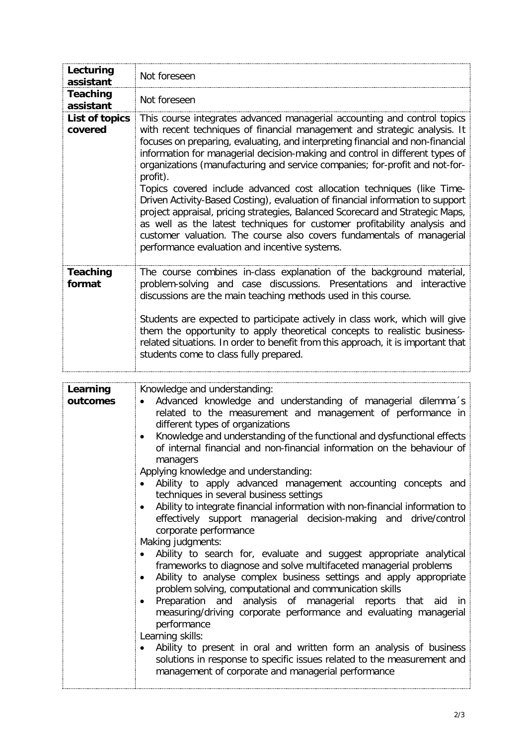| Lecturing<br>assistant    | Not foreseen                                                                                                                                                                                                                                                                                                                                                                                                                                                                                                                                                                                                                                                                                                                                                                                                                                                          |
|---------------------------|-----------------------------------------------------------------------------------------------------------------------------------------------------------------------------------------------------------------------------------------------------------------------------------------------------------------------------------------------------------------------------------------------------------------------------------------------------------------------------------------------------------------------------------------------------------------------------------------------------------------------------------------------------------------------------------------------------------------------------------------------------------------------------------------------------------------------------------------------------------------------|
| Teaching<br>assistant     | Not foreseen                                                                                                                                                                                                                                                                                                                                                                                                                                                                                                                                                                                                                                                                                                                                                                                                                                                          |
| List of topics<br>covered | This course integrates advanced managerial accounting and control topics<br>with recent techniques of financial management and strategic analysis. It<br>focuses on preparing, evaluating, and interpreting financial and non-financial<br>information for managerial decision-making and control in different types of<br>organizations (manufacturing and service companies; for-profit and not-for-<br>profit).<br>Topics covered include advanced cost allocation techniques (like Time-<br>Driven Activity-Based Costing), evaluation of financial information to support<br>project appraisal, pricing strategies, Balanced Scorecard and Strategic Maps,<br>as well as the latest techniques for customer profitability analysis and<br>customer valuation. The course also covers fundamentals of managerial<br>performance evaluation and incentive systems. |
| <b>Teaching</b><br>format | The course combines in-class explanation of the background material,<br>problem-solving and case discussions. Presentations and interactive<br>discussions are the main teaching methods used in this course.<br>Students are expected to participate actively in class work, which will give<br>them the opportunity to apply theoretical concepts to realistic business-<br>related situations. In order to benefit from this approach, it is important that<br>students come to class fully prepared.                                                                                                                                                                                                                                                                                                                                                              |

| Learning<br>outcomes | Knowledge and understanding:<br>Advanced knowledge and understanding of managerial dilemma's<br>related to the measurement and management of performance in<br>different types of organizations<br>Knowledge and understanding of the functional and dysfunctional effects<br>of internal financial and non-financial information on the behaviour of<br>managers<br>Applying knowledge and understanding:<br>Ability to apply advanced management accounting concepts and<br>techniques in several business settings<br>Ability to integrate financial information with non-financial information to<br>effectively support managerial decision-making and drive/control<br>corporate performance<br>Making judgments:<br>Ability to search for, evaluate and suggest appropriate analytical<br>frameworks to diagnose and solve multifaceted managerial problems<br>Ability to analyse complex business settings and apply appropriate<br>problem solving, computational and communication skills<br>Preparation and analysis of managerial reports that aid<br>in.<br>measuring/driving corporate performance and evaluating managerial<br>performance |
|----------------------|-----------------------------------------------------------------------------------------------------------------------------------------------------------------------------------------------------------------------------------------------------------------------------------------------------------------------------------------------------------------------------------------------------------------------------------------------------------------------------------------------------------------------------------------------------------------------------------------------------------------------------------------------------------------------------------------------------------------------------------------------------------------------------------------------------------------------------------------------------------------------------------------------------------------------------------------------------------------------------------------------------------------------------------------------------------------------------------------------------------------------------------------------------------|
|                      | Learning skills:<br>Ability to present in oral and written form an analysis of business<br>solutions in response to specific issues related to the measurement and<br>management of corporate and managerial performance                                                                                                                                                                                                                                                                                                                                                                                                                                                                                                                                                                                                                                                                                                                                                                                                                                                                                                                                  |